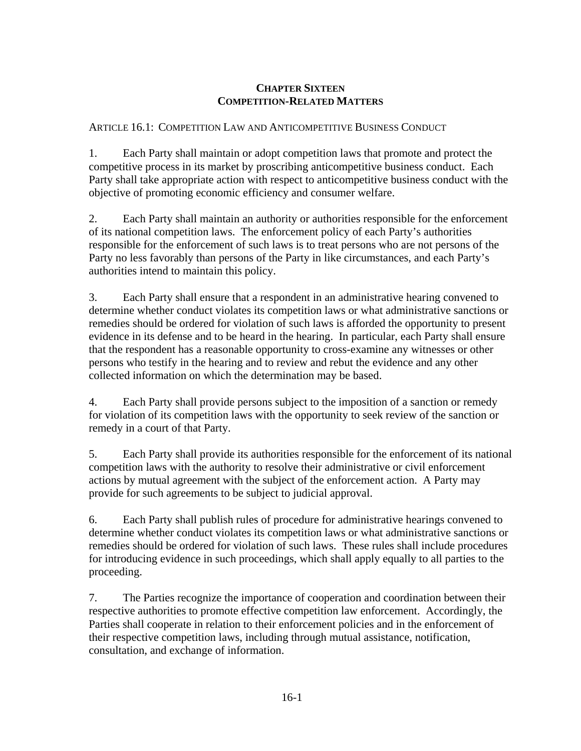# **CHAPTER SIXTEEN COMPETITION-RELATED MATTERS**

## ARTICLE 16.1: COMPETITION LAW AND ANTICOMPETITIVE BUSINESS CONDUCT

1. Each Party shall maintain or adopt competition laws that promote and protect the competitive process in its market by proscribing anticompetitive business conduct. Each Party shall take appropriate action with respect to anticompetitive business conduct with the objective of promoting economic efficiency and consumer welfare.

2. Each Party shall maintain an authority or authorities responsible for the enforcement of its national competition laws. The enforcement policy of each Party's authorities responsible for the enforcement of such laws is to treat persons who are not persons of the Party no less favorably than persons of the Party in like circumstances, and each Party's authorities intend to maintain this policy.

3. Each Party shall ensure that a respondent in an administrative hearing convened to determine whether conduct violates its competition laws or what administrative sanctions or remedies should be ordered for violation of such laws is afforded the opportunity to present evidence in its defense and to be heard in the hearing. In particular, each Party shall ensure that the respondent has a reasonable opportunity to cross-examine any witnesses or other persons who testify in the hearing and to review and rebut the evidence and any other collected information on which the determination may be based.

4. Each Party shall provide persons subject to the imposition of a sanction or remedy for violation of its competition laws with the opportunity to seek review of the sanction or remedy in a court of that Party.

5. Each Party shall provide its authorities responsible for the enforcement of its national competition laws with the authority to resolve their administrative or civil enforcement actions by mutual agreement with the subject of the enforcement action. A Party may provide for such agreements to be subject to judicial approval.

6. Each Party shall publish rules of procedure for administrative hearings convened to determine whether conduct violates its competition laws or what administrative sanctions or remedies should be ordered for violation of such laws. These rules shall include procedures for introducing evidence in such proceedings, which shall apply equally to all parties to the proceeding.

7. The Parties recognize the importance of cooperation and coordination between their respective authorities to promote effective competition law enforcement. Accordingly, the Parties shall cooperate in relation to their enforcement policies and in the enforcement of their respective competition laws, including through mutual assistance, notification, consultation, and exchange of information.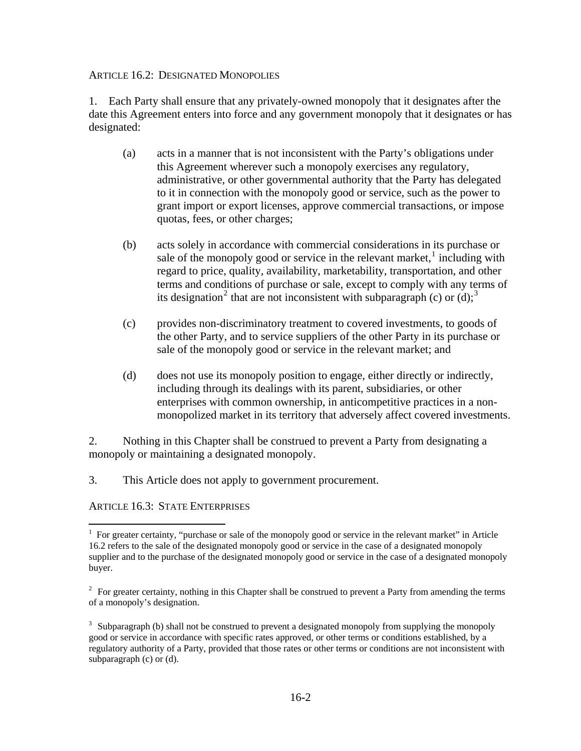### ARTICLE 16.2: DESIGNATED MONOPOLIES

1. Each Party shall ensure that any privately-owned monopoly that it designates after the date this Agreement enters into force and any government monopoly that it designates or has designated:

- (a) acts in a manner that is not inconsistent with the Party's obligations under this Agreement wherever such a monopoly exercises any regulatory, administrative, or other governmental authority that the Party has delegated to it in connection with the monopoly good or service, such as the power to grant import or export licenses, approve commercial transactions, or impose quotas, fees, or other charges;
- (b) acts solely in accordance with commercial considerations in its purchase or sale of the monopoly good or service in the relevant market, $<sup>1</sup>$  $<sup>1</sup>$  $<sup>1</sup>$  including with</sup> regard to price, quality, availability, marketability, transportation, and other terms and conditions of purchase or sale, except to comply with any terms of its designation<sup>[2](#page-1-1)</sup> that are not inconsistent with subparagraph (c) or  $(d)$ ;<sup>[3](#page-1-2)</sup>
- (c) provides non-discriminatory treatment to covered investments, to goods of the other Party, and to service suppliers of the other Party in its purchase or sale of the monopoly good or service in the relevant market; and
- (d) does not use its monopoly position to engage, either directly or indirectly, including through its dealings with its parent, subsidiaries, or other enterprises with common ownership, in anticompetitive practices in a nonmonopolized market in its territory that adversely affect covered investments.

2. Nothing in this Chapter shall be construed to prevent a Party from designating a monopoly or maintaining a designated monopoly.

3. This Article does not apply to government procurement.

ARTICLE 16.3: STATE ENTERPRISES

 $\overline{a}$ 

<span id="page-1-0"></span><sup>&</sup>lt;sup>1</sup> For greater certainty, "purchase or sale of the monopoly good or service in the relevant market" in Article 16.2 refers to the sale of the designated monopoly good or service in the case of a designated monopoly supplier and to the purchase of the designated monopoly good or service in the case of a designated monopoly buyer.

<span id="page-1-1"></span> $2^2$  For greater certainty, nothing in this Chapter shall be construed to prevent a Party from amending the terms of a monopoly's designation.

<span id="page-1-2"></span><sup>&</sup>lt;sup>3</sup> Subparagraph (b) shall not be construed to prevent a designated monopoly from supplying the monopoly good or service in accordance with specific rates approved, or other terms or conditions established, by a regulatory authority of a Party, provided that those rates or other terms or conditions are not inconsistent with subparagraph (c) or (d).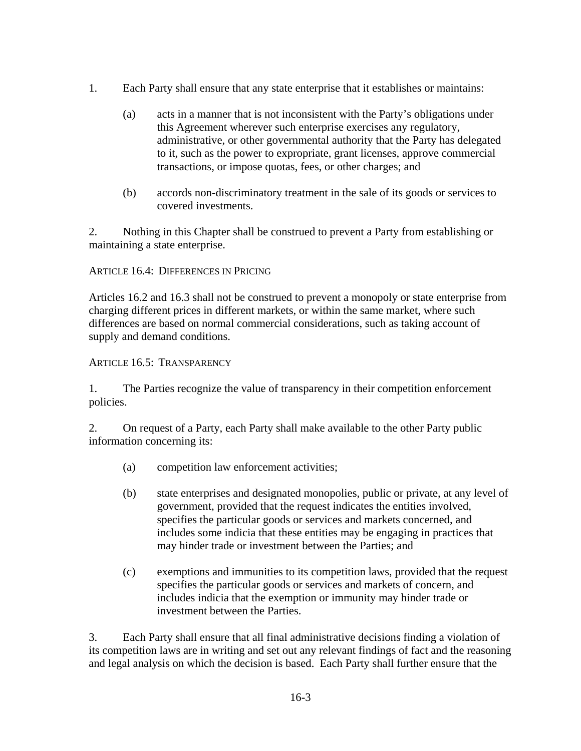- 1. Each Party shall ensure that any state enterprise that it establishes or maintains:
	- (a) acts in a manner that is not inconsistent with the Party's obligations under this Agreement wherever such enterprise exercises any regulatory, administrative, or other governmental authority that the Party has delegated to it, such as the power to expropriate, grant licenses, approve commercial transactions, or impose quotas, fees, or other charges; and
	- (b) accords non-discriminatory treatment in the sale of its goods or services to covered investments.

2. Nothing in this Chapter shall be construed to prevent a Party from establishing or maintaining a state enterprise.

## ARTICLE 16.4: DIFFERENCES IN PRICING

Articles 16.2 and 16.3 shall not be construed to prevent a monopoly or state enterprise from charging different prices in different markets, or within the same market, where such differences are based on normal commercial considerations, such as taking account of supply and demand conditions.

## ARTICLE 16.5: TRANSPARENCY

1. The Parties recognize the value of transparency in their competition enforcement policies.

2. On request of a Party, each Party shall make available to the other Party public information concerning its:

- (a) competition law enforcement activities;
- (b) state enterprises and designated monopolies, public or private, at any level of government, provided that the request indicates the entities involved, specifies the particular goods or services and markets concerned, and includes some indicia that these entities may be engaging in practices that may hinder trade or investment between the Parties; and
- (c) exemptions and immunities to its competition laws, provided that the request specifies the particular goods or services and markets of concern, and includes indicia that the exemption or immunity may hinder trade or investment between the Parties.

3. Each Party shall ensure that all final administrative decisions finding a violation of its competition laws are in writing and set out any relevant findings of fact and the reasoning and legal analysis on which the decision is based. Each Party shall further ensure that the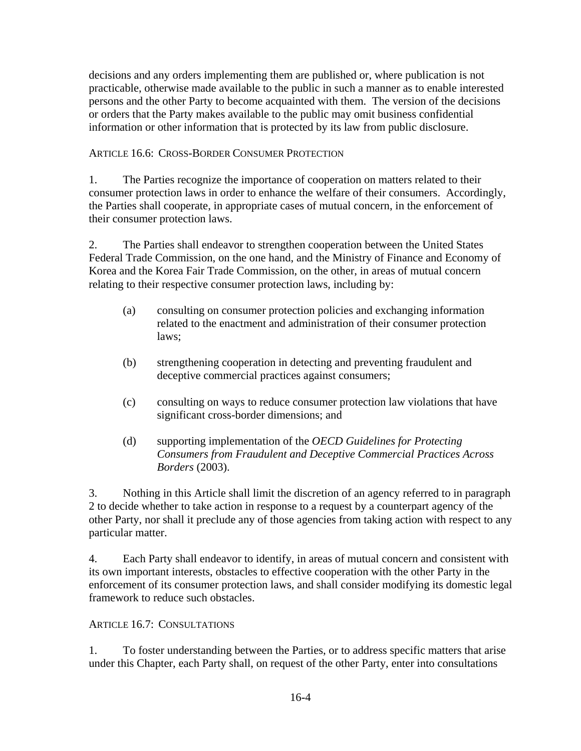decisions and any orders implementing them are published or, where publication is not practicable, otherwise made available to the public in such a manner as to enable interested persons and the other Party to become acquainted with them. The version of the decisions or orders that the Party makes available to the public may omit business confidential information or other information that is protected by its law from public disclosure.

ARTICLE 16.6: CROSS-BORDER CONSUMER PROTECTION

1. The Parties recognize the importance of cooperation on matters related to their consumer protection laws in order to enhance the welfare of their consumers. Accordingly, the Parties shall cooperate, in appropriate cases of mutual concern, in the enforcement of their consumer protection laws.

2. The Parties shall endeavor to strengthen cooperation between the United States Federal Trade Commission, on the one hand, and the Ministry of Finance and Economy of Korea and the Korea Fair Trade Commission, on the other, in areas of mutual concern relating to their respective consumer protection laws, including by:

- (a) consulting on consumer protection policies and exchanging information related to the enactment and administration of their consumer protection laws;
- (b) strengthening cooperation in detecting and preventing fraudulent and deceptive commercial practices against consumers;
- (c) consulting on ways to reduce consumer protection law violations that have significant cross-border dimensions; and
- (d) supporting implementation of the *OECD Guidelines for Protecting Consumers from Fraudulent and Deceptive Commercial Practices Across Borders* (2003).

3. Nothing in this Article shall limit the discretion of an agency referred to in paragraph 2 to decide whether to take action in response to a request by a counterpart agency of the other Party, nor shall it preclude any of those agencies from taking action with respect to any particular matter.

4. Each Party shall endeavor to identify, in areas of mutual concern and consistent with its own important interests, obstacles to effective cooperation with the other Party in the enforcement of its consumer protection laws, and shall consider modifying its domestic legal framework to reduce such obstacles.

ARTICLE 16.7: CONSULTATIONS

1. To foster understanding between the Parties, or to address specific matters that arise under this Chapter, each Party shall, on request of the other Party, enter into consultations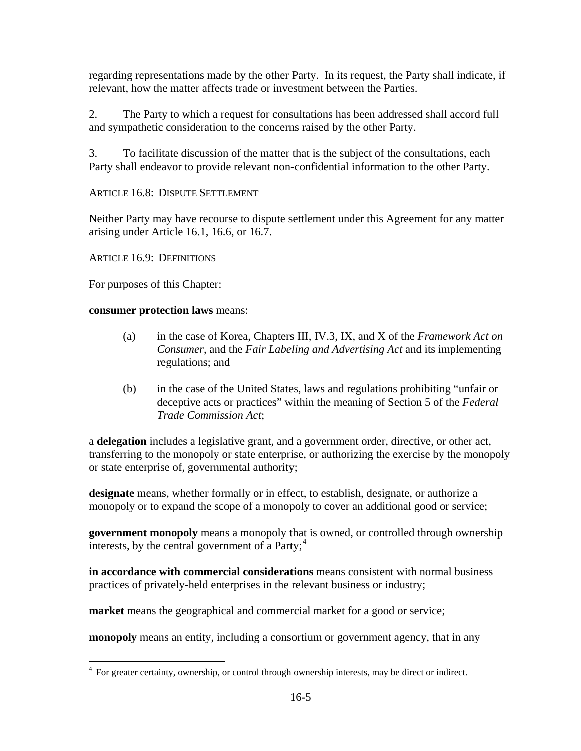regarding representations made by the other Party. In its request, the Party shall indicate, if relevant, how the matter affects trade or investment between the Parties.

2. The Party to which a request for consultations has been addressed shall accord full and sympathetic consideration to the concerns raised by the other Party.

3. To facilitate discussion of the matter that is the subject of the consultations, each Party shall endeavor to provide relevant non-confidential information to the other Party.

ARTICLE 16.8: DISPUTE SETTLEMENT

Neither Party may have recourse to dispute settlement under this Agreement for any matter arising under Article 16.1, 16.6, or 16.7.

ARTICLE 16.9: DEFINITIONS

For purposes of this Chapter:

 $\overline{a}$ 

**consumer protection laws** means:

- (a) in the case of Korea, Chapters III, IV.3, IX, and X of the *Framework Act on Consumer*, and the *Fair Labeling and Advertising Act* and its implementing regulations; and
- (b) in the case of the United States, laws and regulations prohibiting "unfair or deceptive acts or practices" within the meaning of Section 5 of the *Federal Trade Commission Act*;

a **delegation** includes a legislative grant, and a government order, directive, or other act, transferring to the monopoly or state enterprise, or authorizing the exercise by the monopoly or state enterprise of, governmental authority;

**designate** means, whether formally or in effect, to establish, designate, or authorize a monopoly or to expand the scope of a monopoly to cover an additional good or service;

**government monopoly** means a monopoly that is owned, or controlled through ownership interests, by the central government of a Party; $<sup>4</sup>$  $<sup>4</sup>$  $<sup>4</sup>$ </sup>

**in accordance with commercial considerations** means consistent with normal business practices of privately-held enterprises in the relevant business or industry;

**market** means the geographical and commercial market for a good or service;

**monopoly** means an entity, including a consortium or government agency, that in any

<span id="page-4-0"></span><sup>&</sup>lt;sup>4</sup> For greater certainty, ownership, or control through ownership interests, may be direct or indirect.